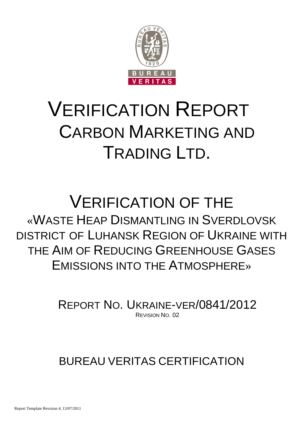

# VERIFICATION REPORT CARBON MARKETING AND TRADING LTD.

# VERIFICATION OF THE «WASTE HEAP DISMANTLING IN SVERDLOVSK DISTRICT OF LUHANSK REGION OF UKRAINE WITH THE AIM OF REDUCING GREENHOUSE GASES EMISSIONS INTO THE ATMOSPHERE»

REPORT NO. UKRAINE-VER/0841/2012 REVISION NO. 02

# BUREAU VERITAS CERTIFICATION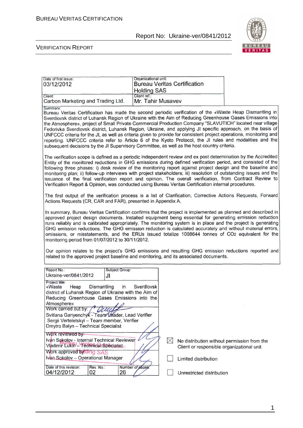

 $\overline{\mathbf{u}}$ 

| Date of first issue:                                                                                                                                                                                                                                                                                                                                                                                                                                                                                                                                                                                                                                                                                                                                                                                                  | Organizational unit: |             |                                                                                                                  |  |
|-----------------------------------------------------------------------------------------------------------------------------------------------------------------------------------------------------------------------------------------------------------------------------------------------------------------------------------------------------------------------------------------------------------------------------------------------------------------------------------------------------------------------------------------------------------------------------------------------------------------------------------------------------------------------------------------------------------------------------------------------------------------------------------------------------------------------|----------------------|-------------|------------------------------------------------------------------------------------------------------------------|--|
| 03/12/2012                                                                                                                                                                                                                                                                                                                                                                                                                                                                                                                                                                                                                                                                                                                                                                                                            |                      |             | <b>Bureau Veritas Certification</b>                                                                              |  |
|                                                                                                                                                                                                                                                                                                                                                                                                                                                                                                                                                                                                                                                                                                                                                                                                                       | <b>Holding SAS</b>   |             |                                                                                                                  |  |
| Client:                                                                                                                                                                                                                                                                                                                                                                                                                                                                                                                                                                                                                                                                                                                                                                                                               | Client ref.:         |             |                                                                                                                  |  |
| Carbon Marketing and Trading Ltd.                                                                                                                                                                                                                                                                                                                                                                                                                                                                                                                                                                                                                                                                                                                                                                                     | Mr. Tahir Musavev    |             |                                                                                                                  |  |
| Summary:<br>Bureau Veritas Certification has made the second periodic verification of the «Waste Heap Dismantling in<br>Sverdlovsk district of Luhansk Region of Ukraine with the Aim of Reducing Greenhouse Gases Emissions into<br>the Atmosphere», project of Small Private Commercial Production Company "SLAVUTICH" located near village<br>Fedorivka Sverdlovsk district, Luhansk Region, Ukraine, and applying JI specific approach, on the basis of<br>UNFCCC criteria for the JI, as well as criteria given to provide for consistent project operations, monitoring and<br>reporting. UNFCCC criteria refer to Article 6 of the Kyoto Protocol, the JI rules and modalities and the<br>subsequent decisions by the JI Supervisory Committee, as well as the host country criteria.                          |                      |             |                                                                                                                  |  |
| The verification scope is defined as a periodic independent review and ex post determination by the Accredited<br>Entity of the monitored reductions in GHG emissions during defined verification period, and consisted of the<br>following three phases: i) desk review of the monitoring report against project design and the baseline and<br>monitoring plan; ii) follow-up interviews with project stakeholders; iii) resolution of outstanding issues and the<br>issuance of the final verification report and opinion. The overall verification, from Contract Review to<br>Verification Report & Opinion, was conducted using Bureau Veritas Certification internal procedures.                                                                                                                               |                      |             |                                                                                                                  |  |
| The first output of the verification process is a list of Clarification, Corrective Actions Requests, Forward<br>Actions Requests (CR, CAR and FAR), presented in Appendix A.                                                                                                                                                                                                                                                                                                                                                                                                                                                                                                                                                                                                                                         |                      |             |                                                                                                                  |  |
| In summary, Bureau Veritas Certification confirms that the project is implemented as planned and described in<br>approved project design documents. Installed equipment being essential for generating emission reduction<br>runs reliably and is calibrated appropriately. The monitoring system is in place and the project is generating<br>GHG emission reductions. The GHG emission reduction is calculated accurately and without material errors,<br>omissions, or misstatements, and the ERUs issued totalize 1008644 tonnes of CO2 equivalent for the<br>monitoring period from 01/07/2012 to 30/11/2012.<br>Our opinion relates to the project's GHG emissions and resulting GHG emission reductions reported and<br>related to the approved project baseline and monitoring, and its associated documents. |                      |             |                                                                                                                  |  |
| Report No.:<br>Subject Group:<br>Ukraine-ver/0841/2012<br>JI                                                                                                                                                                                                                                                                                                                                                                                                                                                                                                                                                                                                                                                                                                                                                          |                      |             |                                                                                                                  |  |
| Project title:<br>«Waste<br>Heap<br>Dismantling<br>in<br>district of Luhansk Region of Ukraine with the Aim of<br>Reducing Greenhouse Gases Emissions into the<br>Atmosphere»<br>Work carried out by: /<br>Svitlana Gariyenchyk - Team Deader, Lead Verifier<br>Sergii Verteletskyi - Team member, Verifier<br>Dmytro Balyn - Technical Specialist<br>Work reviewed by:<br>Ivan Sokolov - Internal Technical Reviewer<br>Vladimir Lukin - Technical Specialist<br>Work approved by ding SAS<br>Ivan Sokolov - Operational Manager                                                                                                                                                                                                                                                                                     | Sverdlovsk           | $\boxtimes$ | No distribution without permission from the<br>Client or responsible organizational unit<br>Limited distribution |  |
| Date of this revision:<br>Rev. No.:                                                                                                                                                                                                                                                                                                                                                                                                                                                                                                                                                                                                                                                                                                                                                                                   | Number of pages.     |             |                                                                                                                  |  |
| 04/12/2012<br>02<br>26                                                                                                                                                                                                                                                                                                                                                                                                                                                                                                                                                                                                                                                                                                                                                                                                |                      |             | Unrestricted distribution                                                                                        |  |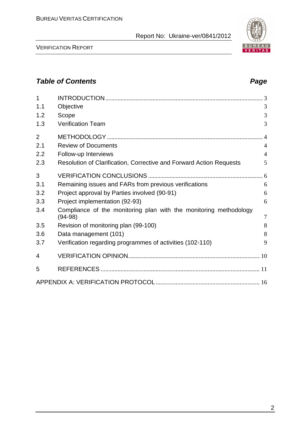

VERIFICATION REPORT

# **Table of Contents Page 2014**

| 1              |                                                                     |                |
|----------------|---------------------------------------------------------------------|----------------|
| 1.1            | Objective                                                           | 3              |
| 1.2            | Scope                                                               | 3              |
| 1.3            | <b>Verification Team</b>                                            | 3              |
| $\overline{2}$ |                                                                     |                |
| 2.1            | <b>Review of Documents</b>                                          | $\overline{4}$ |
| 2.2            | Follow-up Interviews                                                | $\overline{4}$ |
| 2.3            | Resolution of Clarification, Corrective and Forward Action Requests | 5              |
| 3              |                                                                     |                |
| 3.1            | Remaining issues and FARs from previous verifications               | 6              |
| 3.2            | Project approval by Parties involved (90-91)                        | 6              |
| 3.3            | Project implementation (92-93)                                      | 6              |
| 3.4            | Compliance of the monitoring plan with the monitoring methodology   | 7              |
| 3.5            | $(94-98)$                                                           | 8              |
|                | Revision of monitoring plan (99-100)                                | 8              |
| 3.6            | Data management (101)                                               |                |
| 3.7            | Verification regarding programmes of activities (102-110)           | 9              |
| 4              |                                                                     |                |
| 5              |                                                                     |                |
|                |                                                                     |                |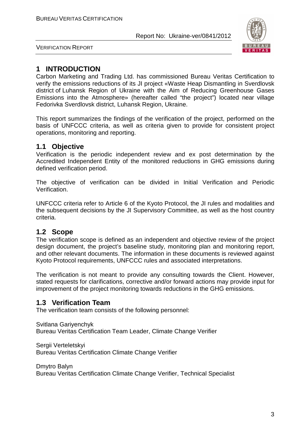

VERIFICATION REPORT

# **1 INTRODUCTION**

Carbon Marketing and Trading Ltd. has commissioned Bureau Veritas Certification to verify the emissions reductions of its JI project «Waste Heap Dismantling in Sverdlovsk district of Luhansk Region of Ukraine with the Aim of Reducing Greenhouse Gases Emissions into the Atmosphere» (hereafter called "the project") located near village Fedorivka Sverdlovsk district, Luhansk Region, Ukraine.

This report summarizes the findings of the verification of the project, performed on the basis of UNFCCC criteria, as well as criteria given to provide for consistent project operations, monitoring and reporting.

## **1.1 Objective**

Verification is the periodic independent review and ex post determination by the Accredited Independent Entity of the monitored reductions in GHG emissions during defined verification period.

The objective of verification can be divided in Initial Verification and Periodic Verification.

UNFCCC criteria refer to Article 6 of the Kyoto Protocol, the JI rules and modalities and the subsequent decisions by the JI Supervisory Committee, as well as the host country criteria.

## **1.2 Scope**

The verification scope is defined as an independent and objective review of the project design document, the project's baseline study, monitoring plan and monitoring report, and other relevant documents. The information in these documents is reviewed against Kyoto Protocol requirements, UNFCCC rules and associated interpretations.

The verification is not meant to provide any consulting towards the Client. However, stated requests for clarifications, corrective and/or forward actions may provide input for improvement of the project monitoring towards reductions in the GHG emissions.

# **1.3 Verification Team**

The verification team consists of the following personnel:

Svitlana Gariyenchyk Bureau Veritas Certification Team Leader, Climate Change Verifier

Sergii Verteletskyi Bureau Veritas Certification Climate Change Verifier

Dmytro Balyn

Bureau Veritas Certification Climate Change Verifier, Technical Specialist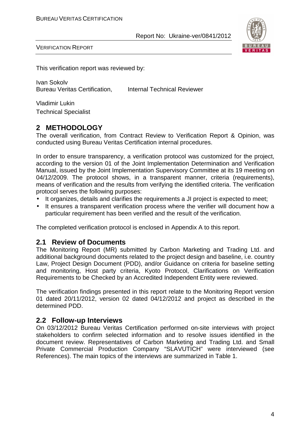

VERIFICATION REPORT

This verification report was reviewed by:

Ivan Sokolv Bureau Veritas Certification, Internal Technical Reviewer

Vladimir Lukin Technical Specialist

# **2 METHODOLOGY**

The overall verification, from Contract Review to Verification Report & Opinion, was conducted using Bureau Veritas Certification internal procedures.

In order to ensure transparency, a verification protocol was customized for the project, according to the version 01 of the Joint Implementation Determination and Verification Manual, issued by the Joint Implementation Supervisory Committee at its 19 meeting on 04/12/2009. The protocol shows, in a transparent manner, criteria (requirements), means of verification and the results from verifying the identified criteria. The verification protocol serves the following purposes:

- It organizes, details and clarifies the requirements a JI project is expected to meet;
- It ensures a transparent verification process where the verifier will document how a particular requirement has been verified and the result of the verification.

The completed verification protocol is enclosed in Appendix A to this report.

#### **2.1 Review of Documents**

The Monitoring Report (MR) submitted by Carbon Marketing and Trading Ltd. and additional background documents related to the project design and baseline, i.e. country Law, Project Design Document (PDD), and/or Guidance on criteria for baseline setting and monitoring, Host party criteria, Kyoto Protocol, Clarifications on Verification Requirements to be Checked by an Accredited Independent Entity were reviewed.

The verification findings presented in this report relate to the Monitoring Report version 01 dated 20/11/2012, version 02 dated 04/12/2012 and project as described in the determined PDD.

## **2.2 Follow-up Interviews**

On 03/12/2012 Bureau Veritas Certification performed on-site interviews with project stakeholders to confirm selected information and to resolve issues identified in the document review. Representatives of Carbon Marketing and Trading Ltd. and Small Private Commercial Production Company "SLAVUTICH" were interviewed (see References). The main topics of the interviews are summarized in Table 1.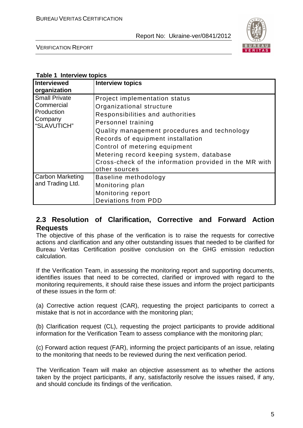

VERIFICATION REPORT

#### **Table 1 Interview topics**

| <b>Interviewed</b><br>organization                                         | <b>Interview topics</b>                                                                                                                                                                                                                                                                                                                                          |
|----------------------------------------------------------------------------|------------------------------------------------------------------------------------------------------------------------------------------------------------------------------------------------------------------------------------------------------------------------------------------------------------------------------------------------------------------|
| <b>Small Private</b><br>Commercial<br>Production<br>Company<br>"SLAVUTICH" | Project implementation status<br>Organizational structure<br>Responsibilities and authorities<br>Personnel training<br>Quality management procedures and technology<br>Records of equipment installation<br>Control of metering equipment<br>Metering record keeping system, database<br>Cross-check of the information provided in the MR with<br>other sources |
| <b>Carbon Marketing</b><br>and Trading Ltd.                                | Baseline methodology<br>Monitoring plan<br>Monitoring report<br><b>Deviations from PDD</b>                                                                                                                                                                                                                                                                       |

## **2.3 Resolution of Clarification, Corrective and Forward Action Requests**

The objective of this phase of the verification is to raise the requests for corrective actions and clarification and any other outstanding issues that needed to be clarified for Bureau Veritas Certification positive conclusion on the GHG emission reduction calculation.

If the Verification Team, in assessing the monitoring report and supporting documents, identifies issues that need to be corrected, clarified or improved with regard to the monitoring requirements, it should raise these issues and inform the project participants of these issues in the form of:

(a) Corrective action request (CAR), requesting the project participants to correct a mistake that is not in accordance with the monitoring plan;

(b) Clarification request (CL), requesting the project participants to provide additional information for the Verification Team to assess compliance with the monitoring plan;

(c) Forward action request (FAR), informing the project participants of an issue, relating to the monitoring that needs to be reviewed during the next verification period.

The Verification Team will make an objective assessment as to whether the actions taken by the project participants, if any, satisfactorily resolve the issues raised, if any, and should conclude its findings of the verification.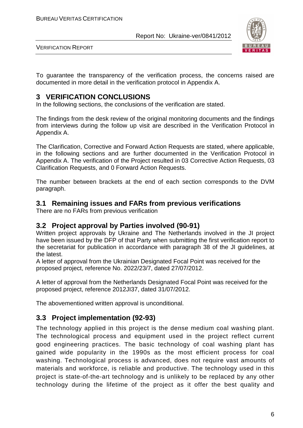

VERIFICATION REPORT

To guarantee the transparency of the verification process, the concerns raised are documented in more detail in the verification protocol in Appendix A.

# **3 VERIFICATION CONCLUSIONS**

In the following sections, the conclusions of the verification are stated.

The findings from the desk review of the original monitoring documents and the findings from interviews during the follow up visit are described in the Verification Protocol in Appendix A.

The Clarification, Corrective and Forward Action Requests are stated, where applicable, in the following sections and are further documented in the Verification Protocol in Appendix A. The verification of the Project resulted in 03 Corrective Action Requests, 03 Clarification Requests, and 0 Forward Action Requests.

The number between brackets at the end of each section corresponds to the DVM paragraph.

## **3.1 Remaining issues and FARs from previous verifications**

There are no FARs from previous verification

# **3.2 Project approval by Parties involved (90-91)**

Written project approvals by Ukraine and The Netherlands involved in the JI project have been issued by the DFP of that Party when submitting the first verification report to the secretariat for publication in accordance with paragraph 38 of the JI guidelines, at the latest.

A letter of approval from the Ukrainian Designated Focal Point was received for the proposed project, reference No. 2022/23/7, dated 27/07/2012.

A letter of approval from the Netherlands Designated Focal Point was received for the proposed project, reference 2012JI37, dated 31/07/2012.

The abovementioned written approval is unconditional.

# **3.3 Project implementation (92-93)**

The technology applied in this project is the dense medium coal washing plant. The technological process and equipment used in the project reflect current good engineering practices. The basic technology of coal washing plant has gained wide popularity in the 1990s as the most efficient process for coal washing. Technological process is advanced, does not require vast amounts of materials and workforce, is reliable and productive. The technology used in this project is state-of-the-art technology and is unlikely to be replaced by any other technology during the lifetime of the project as it offer the best quality and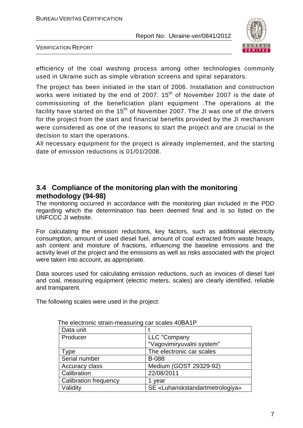

VERIFICATION REPORT

efficiency of the coal washing process among other technologies commonly used in Ukraine such as simple vibration screens and spiral separators.

The project has been initiated in the start of 2006. Installation and construction works were initiated by the end of 2007.  $15<sup>th</sup>$  of November 2007 is the date of commissioning of the beneficiation plant equipment .The operations at the facility have started on the  $15<sup>th</sup>$  of November 2007. The JI was one of the drivers for the project from the start and financial benefits provided by the JI mechanism were considered as one of the reasons to start the project and are crucial in the decision to start the operations.

All necessary equipment for the project is already implemented, and the starting date of emission reductions is 01/01/2008.

# **3.4 Compliance of the monitoring plan with the monitoring methodology (94-98)**

The monitoring occurred in accordance with the monitoring plan included in the PDD regarding which the determination has been deemed final and is so listed on the UNFCCC JI website.

For calculating the emission reductions, key factors, such as additional electricity consumption, amount of used diesel fuel, amount of coal extracted from waste heaps, ash content and moisture of fractions, influencing the baseline emissions and the activity level of the project and the emissions as well as risks associated with the project were taken into account, as appropriate.

Data sources used for calculating emission reductions, such as invoices of diesel fuel and coal, measuring equipment (electric meters, scales) are clearly identified, reliable and transparent.

The following scales were used in the project:

| The electronic strain-measuring car scales 40BATP. |                                 |
|----------------------------------------------------|---------------------------------|
| Data unit                                          |                                 |
| Producer                                           | LLC "Company                    |
|                                                    | "Vagovimiryuvalni system"       |
| <b>Type</b>                                        | The electronic car scales       |
| Serial number                                      | <b>B-088</b>                    |
| Accuracy class                                     | Medium (GOST 29329-92)          |
| Calibration                                        | 22/08/2011                      |
| <b>Calibration frequency</b>                       | 1 year                          |
| Validity                                           | SE «Luhanskstandartmetrologiya» |

The electronic strain-measuring car scales 40ВА1P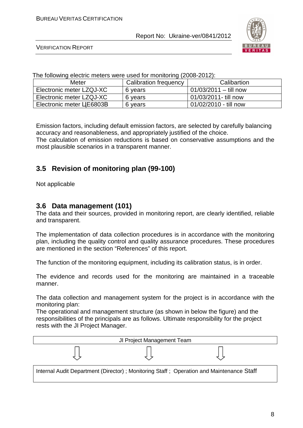

VERIFICATION REPORT

The following electric meters were used for monitoring (2008-2012):

| Meter                     | Calibration frequency | Calibartion             |
|---------------------------|-----------------------|-------------------------|
| Electronic meter LZQJ-XC  | 6 years               | $01/03/2011 -$ till now |
| Electronic meter LZQJ-XC  | 6 years               | 01/03/2011- till now    |
| Electronic meter LLE6803B | 6 years               | 01/02/2010 - till now   |

Emission factors, including default emission factors, are selected by carefully balancing accuracy and reasonableness, and appropriately justified of the choice. The calculation of emission reductions is based on conservative assumptions and the most plausible scenarios in a transparent manner.

# **3.5 Revision of monitoring plan (99-100)**

Not applicable

#### **3.6 Data management (101)**

The data and their sources, provided in monitoring report, are clearly identified, reliable and transparent.

The implementation of data collection procedures is in accordance with the monitoring plan, including the quality control and quality assurance procedures. These procedures are mentioned in the section "References" of this report.

The function of the monitoring equipment, including its calibration status, is in order.

The evidence and records used for the monitoring are maintained in a traceable manner.

The data collection and management system for the project is in accordance with the monitoring plan:

The operational and management structure (as shown in below the figure) and the responsibilities of the principals are as follows. Ultimate responsibility for the project rests with the JI Project Manager.

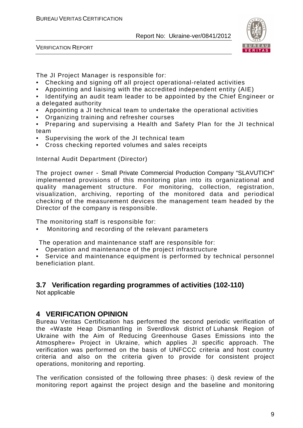

VERIFICATION REPORT

The JI Project Manager is responsible for:

- Checking and signing off all project operational-related activities
- Appointing and liaising with the accredited independent entity (AIE)
- Identifying an audit team leader to be appointed by the Chief Engineer or a delegated authority
- Appointing a JI technical team to undertake the operational activities
- Organizing training and refresher courses

• Preparing and supervising a Health and Safety Plan for the JI technical team

- Supervising the work of the JI technical team
- Cross checking reported volumes and sales receipts

Internal Audit Department (Director)

The project owner - Small Private Commercial Production Company "SLAVUTICH" implemented provisions of this monitoring plan into its organizational and quality management structure. For monitoring, collection, registration, visualization, archiving, reporting of the monitored data and periodical checking of the measurement devices the management team headed by the Director of the company is responsible.

The monitoring staff is responsible for:

• Monitoring and recording of the relevant parameters

The operation and maintenance staff are responsible for:

• Operation and maintenance of the project infrastructure

• Service and maintenance equipment is performed by technical personnel beneficiation plant.

# **3.7 Verification regarding programmes of activities (102-110)**

Not applicable

## **4 VERIFICATION OPINION**

Bureau Veritas Certification has performed the second periodic verification of the «Waste Heap Dismantling in Sverdlovsk district of Luhansk Region of Ukraine with the Aim of Reducing Greenhouse Gases Emissions into the Atmosphere» Project in Ukraine, which applies JI specific approach. The verification was performed on the basis of UNFCCC criteria and host country criteria and also on the criteria given to provide for consistent project operations, monitoring and reporting.

The verification consisted of the following three phases: i) desk review of the monitoring report against the project design and the baseline and monitoring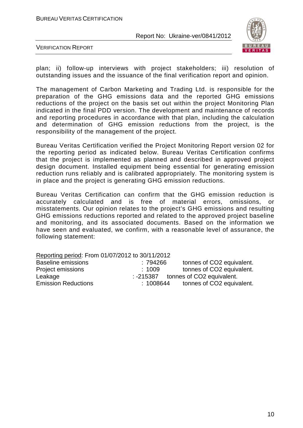

VERIFICATION REPORT

plan; ii) follow-up interviews with project stakeholders; iii) resolution of outstanding issues and the issuance of the final verification report and opinion.

The management of Carbon Marketing and Trading Ltd. is responsible for the preparation of the GHG emissions data and the reported GHG emissions reductions of the project on the basis set out within the project Monitoring Plan indicated in the final PDD version. The development and maintenance of records and reporting procedures in accordance with that plan, including the calculation and determination of GHG emission reductions from the project, is the responsibility of the management of the project.

Bureau Veritas Certification verified the Project Monitoring Report version 02 for the reporting period as indicated below. Bureau Veritas Certification confirms that the project is implemented as planned and described in approved project design document. Installed equipment being essential for generating emission reduction runs reliably and is calibrated appropriately. The monitoring system is in place and the project is generating GHG emission reductions.

Bureau Veritas Certification can confirm that the GHG emission reduction is accurately calculated and is free of material errors, omissions, or misstatements. Our opinion relates to the project's GHG emissions and resulting GHG emissions reductions reported and related to the approved project baseline and monitoring, and its associated documents. Based on the information we have seen and evaluated, we confirm, with a reasonable level of assurance, the following statement:

| Reporting period: From 01/07/2012 to 30/11/2012 |          |                           |  |  |
|-------------------------------------------------|----------|---------------------------|--|--|
| <b>Baseline emissions</b>                       | :794266  | tonnes of CO2 equivalent. |  |  |
| Project emissions                               | :1009    | tonnes of CO2 equivalent. |  |  |
| Leakage                                         | :-215387 | tonnes of CO2 equivalent. |  |  |
| <b>Emission Reductions</b>                      | :1008644 | tonnes of CO2 equivalent. |  |  |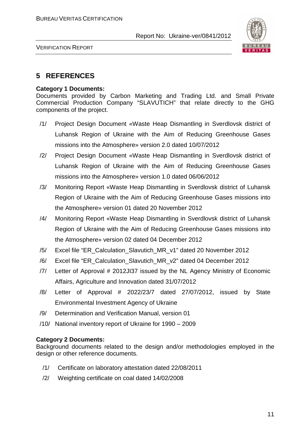

VERIFICATION REPORT

# **5 REFERENCES**

#### **Category 1 Documents:**

Documents provided by Carbon Marketing and Trading Ltd. and Small Private Commercial Production Company "SLAVUTICH" that relate directly to the GHG components of the project.

- /1/ Project Design Document «Waste Heap Dismantling in Sverdlovsk district of Luhansk Region of Ukraine with the Aim of Reducing Greenhouse Gases missions into the Atmosphere» version 2.0 dated 10/07/2012
- /2/ Project Design Document «Waste Heap Dismantling in Sverdlovsk district of Luhansk Region of Ukraine with the Aim of Reducing Greenhouse Gases missions into the Atmosphere» version 1.0 dated 06/06/2012
- /3/ Monitoring Report «Waste Heap Dismantling in Sverdlovsk district of Luhansk Region of Ukraine with the Aim of Reducing Greenhouse Gases missions into the Atmosphere» version 01 dated 20 November 2012
- /4/ Monitoring Report «Waste Heap Dismantling in Sverdlovsk district of Luhansk Region of Ukraine with the Aim of Reducing Greenhouse Gases missions into the Atmosphere» version 02 dated 04 December 2012
- /5/ Excel file "ER\_Calculation\_Slavutich\_MR\_v1" dated 20 November 2012
- /6/ Excel file "ER\_Calculation\_Slavutich\_MR\_v2" dated 04 December 2012
- /7/ Letter of Approval # 2012JI37 issued by the NL Agency Ministry of Economic Affairs, Agriculture and Innovation dated 31/07/2012
- /8/ Letter of Approval # 2022/23/7 dated 27/07/2012, issued by State Environmental Investment Agency of Ukraine
- /9/ Determination and Verification Manual, version 01
- /10/ National inventory report of Ukraine for 1990 2009

#### **Category 2 Documents:**

Background documents related to the design and/or methodologies employed in the design or other reference documents.

- /1/ Certificate on laboratory attestation dated 22/08/2011
- /2/ Weighting certificate on coal dated 14/02/2008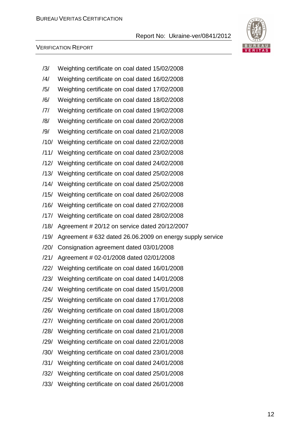

| /3/  | Weighting certificate on coal dated 15/02/2008            |
|------|-----------------------------------------------------------|
| /4/  | Weighting certificate on coal dated 16/02/2008            |
| /5/  | Weighting certificate on coal dated 17/02/2008            |
| /6/  | Weighting certificate on coal dated 18/02/2008            |
| /7/  | Weighting certificate on coal dated 19/02/2008            |
| /8/  | Weighting certificate on coal dated 20/02/2008            |
| /9/  | Weighting certificate on coal dated 21/02/2008            |
| /10/ | Weighting certificate on coal dated 22/02/2008            |
| /11/ | Weighting certificate on coal dated 23/02/2008            |
| /12/ | Weighting certificate on coal dated 24/02/2008            |
| /13/ | Weighting certificate on coal dated 25/02/2008            |
| /14/ | Weighting certificate on coal dated 25/02/2008            |
| /15/ | Weighting certificate on coal dated 26/02/2008            |
|      | /16/ Weighting certificate on coal dated 27/02/2008       |
|      | /17/ Weighting certificate on coal dated 28/02/2008       |
| /18/ | Agreement # 20/12 on service dated 20/12/2007             |
| /19/ | Agreement # 632 dated 26.06.2009 on energy supply service |
| /20/ | Consignation agreement dated 03/01/2008                   |
| /21/ | Agreement # 02-01/2008 dated 02/01/2008                   |
| /22/ | Weighting certificate on coal dated 16/01/2008            |
|      | /23/ Weighting certificate on coal dated 14/01/2008       |
|      | /24/ Weighting certificate on coal dated 15/01/2008       |
|      | /25/ Weighting certificate on coal dated 17/01/2008       |
| /26/ | Weighting certificate on coal dated 18/01/2008            |
| /27/ | Weighting certificate on coal dated 20/01/2008            |
| /28/ | Weighting certificate on coal dated 21/01/2008            |
| /29/ | Weighting certificate on coal dated 22/01/2008            |
| /30/ | Weighting certificate on coal dated 23/01/2008            |
| /31/ | Weighting certificate on coal dated 24/01/2008            |
| /32/ | Weighting certificate on coal dated 25/01/2008            |
|      | /33/ Weighting certificate on coal dated 26/01/2008       |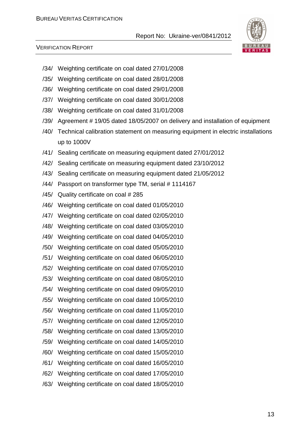

- /34/ Weighting certificate on coal dated 27/01/2008
- /35/ Weighting certificate on coal dated 28/01/2008
- /36/ Weighting certificate on coal dated 29/01/2008
- /37/ Weighting certificate on coal dated 30/01/2008
- /38/ Weighting certificate on coal dated 31/01/2008
- /39/ Agreement # 19/05 dated 18/05/2007 on delivery and installation of equipment
- /40/ Technical calibration statement on measuring equipment in electric installations up to 1000V
- /41/ Sealing certificate on measuring equipment dated 27/01/2012
- /42/ Sealing certificate on measuring equipment dated 23/10/2012
- /43/ Sealing certificate on measuring equipment dated 21/05/2012
- /44/ Passport on transformer type TM, serial # 1114167
- /45/ Quality certificate on coal # 285
- /46/ Weighting certificate on coal dated 01/05/2010
- /47/ Weighting certificate on coal dated 02/05/2010
- /48/ Weighting certificate on coal dated 03/05/2010
- /49/ Weighting certificate on coal dated 04/05/2010
- /50/ Weighting certificate on coal dated 05/05/2010
- /51/ Weighting certificate on coal dated 06/05/2010
- /52/ Weighting certificate on coal dated 07/05/2010
- /53/ Weighting certificate on coal dated 08/05/2010
- /54/ Weighting certificate on coal dated 09/05/2010
- /55/ Weighting certificate on coal dated 10/05/2010
- /56/ Weighting certificate on coal dated 11/05/2010
- /57/ Weighting certificate on coal dated 12/05/2010
- /58/ Weighting certificate on coal dated 13/05/2010
- /59/ Weighting certificate on coal dated 14/05/2010
- /60/ Weighting certificate on coal dated 15/05/2010
- /61/ Weighting certificate on coal dated 16/05/2010
- /62/ Weighting certificate on coal dated 17/05/2010
- /63/ Weighting certificate on coal dated 18/05/2010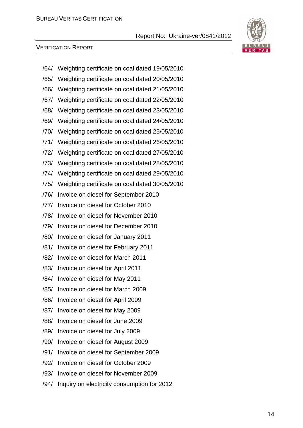

| /64/ | Weighting certificate on coal dated 19/05/2010 |
|------|------------------------------------------------|
| /65/ | Weighting certificate on coal dated 20/05/2010 |
| /66/ | Weighting certificate on coal dated 21/05/2010 |
| /67/ | Weighting certificate on coal dated 22/05/2010 |
| /68/ | Weighting certificate on coal dated 23/05/2010 |
| /69/ | Weighting certificate on coal dated 24/05/2010 |
| /70/ | Weighting certificate on coal dated 25/05/2010 |
| /71/ | Weighting certificate on coal dated 26/05/2010 |
| /72/ | Weighting certificate on coal dated 27/05/2010 |
| /73/ | Weighting certificate on coal dated 28/05/2010 |
| /74/ | Weighting certificate on coal dated 29/05/2010 |
| /75/ | Weighting certificate on coal dated 30/05/2010 |
| /76/ | Invoice on diesel for September 2010           |
| 77   | Invoice on diesel for October 2010             |
| /78/ | Invoice on diesel for November 2010            |
| /79/ | Invoice on diesel for December 2010            |
| /80/ | Invoice on diesel for January 2011             |
| /81/ | Invoice on diesel for February 2011            |
| /82/ | Invoice on diesel for March 2011               |
| /83/ | Invoice on diesel for April 2011               |
| /84/ | Invoice on diesel for May 2011                 |
| /85/ | Invoice on diesel for March 2009               |
| /86/ | Invoice on diesel for April 2009               |
| /87/ | Invoice on diesel for May 2009                 |
| /88/ | Invoice on diesel for June 2009                |
| /89/ | Invoice on diesel for July 2009                |
| /90/ | Invoice on diesel for August 2009              |
| /91/ | Invoice on diesel for September 2009           |
| /92/ | Invoice on diesel for October 2009             |
| /93/ | Invoice on diesel for November 2009            |
| /94/ | Inquiry on electricity consumption for 2012    |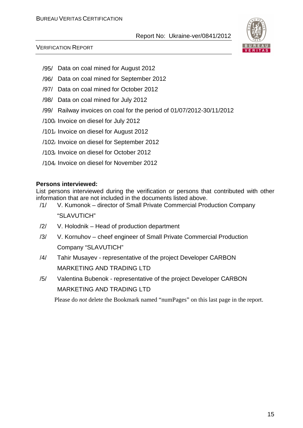

#### VERIFICATION REPORT

- /95/ Data on coal mined for August 2012
- /96/ Data on coal mined for September 2012
- /97/ Data on coal mined for October 2012
- /98/ Data on coal mined for July 2012
- /99/ Railway invoices on coal for the period of 01/07/2012-30/11/2012
- /100/ Invoice on diesel for July 2012
- /101/ Invoice on diesel for August 2012
- /102/ Invoice on diesel for September 2012
- /103/ Invoice on diesel for October 2012
- /104/ Invoice on diesel for November 2012

#### **Persons interviewed:**

List persons interviewed during the verification or persons that contributed with other information that are not included in the documents listed above.

- /1/ V. Kumonok director of Small Private Commercial Production Company "SLAVUTICH"
- /2/ V. Holodnik Head of production department
- /3/ V. Kornuhov cheef engineer of Small Private Commercial Production Company "SLAVUTICH"
- /4/ Tahir Musayev representative of the project Developer СARBON MARKETING AND TRADING LTD
- /5/ Valentina Bubenok representative of the project Developer СARBON MARKETING AND TRADING LTD

Please do *not* delete the Bookmark named "numPages" on this last page in the report.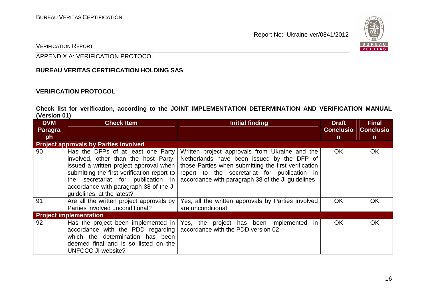

VERIFICATION REPORT

APPENDIX A: VERIFICATION PROTOCOL

#### **BUREAU VERITAS CERTIFICATION HOLDING SAS**

#### **VERIFICATION PROTOCOL**

**Check list for verification, according to the JOINT IMPLEMENTATION DETERMINATION AND VERIFICATION MANUAL (Version 01)** 

| <b>DVM</b><br>Paragra | <b>Check Item</b>                                                                                                                                                                                                                                                                 | <b>Initial finding</b>                                                                                                                                                                                                                                    | <b>Draft</b><br><b>Conclusio</b> | <b>Final</b><br><b>Conclusio</b> |
|-----------------------|-----------------------------------------------------------------------------------------------------------------------------------------------------------------------------------------------------------------------------------------------------------------------------------|-----------------------------------------------------------------------------------------------------------------------------------------------------------------------------------------------------------------------------------------------------------|----------------------------------|----------------------------------|
| ph                    |                                                                                                                                                                                                                                                                                   |                                                                                                                                                                                                                                                           | $\mathsf{n}$                     | $\mathsf{n}$                     |
|                       | <b>Project approvals by Parties involved</b>                                                                                                                                                                                                                                      |                                                                                                                                                                                                                                                           |                                  |                                  |
| 90                    | Has the DFPs of at least one Party<br>involved, other than the host Party,<br>issued a written project approval when<br>submitting the first verification report to<br>the secretariat for publication in<br>accordance with paragraph 38 of the JI<br>guidelines, at the latest? | Written project approvals from Ukraine and the<br>Netherlands have been issued by the DFP of<br>those Parties when submitting the first verification<br>report to the secretariat for publication in<br>accordance with paragraph 38 of the JI guidelines | <b>OK</b>                        | <b>OK</b>                        |
| 91                    | Are all the written project approvals by<br>Parties involved unconditional?                                                                                                                                                                                                       | Yes, all the written approvals by Parties involved<br>are unconditional                                                                                                                                                                                   | <b>OK</b>                        | <b>OK</b>                        |
|                       | <b>Project implementation</b>                                                                                                                                                                                                                                                     |                                                                                                                                                                                                                                                           |                                  |                                  |
| 92                    | Has the project been implemented in<br>accordance with the PDD regarding  <br>which the determination has been<br>deemed final and is so listed on the<br><b>UNFCCC JI website?</b>                                                                                               | Yes, the project has been implemented in<br>accordance with the PDD version 02                                                                                                                                                                            | <b>OK</b>                        | <b>OK</b>                        |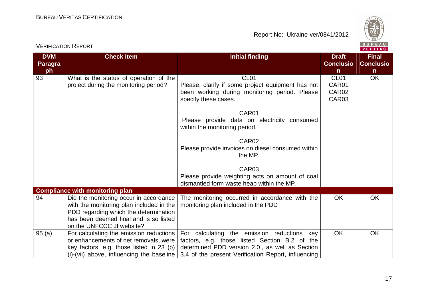

| <b>VERIFICATION REPORT</b>         |                                                                                                                                                                                                    |                                                                                                                                                                                                                                                                                                                                                                                                                                       |                                             | BUREAU<br>VERITAS                                |
|------------------------------------|----------------------------------------------------------------------------------------------------------------------------------------------------------------------------------------------------|---------------------------------------------------------------------------------------------------------------------------------------------------------------------------------------------------------------------------------------------------------------------------------------------------------------------------------------------------------------------------------------------------------------------------------------|---------------------------------------------|--------------------------------------------------|
| <b>DVM</b><br><b>Paragra</b><br>ph | <b>Check Item</b>                                                                                                                                                                                  | <b>Initial finding</b>                                                                                                                                                                                                                                                                                                                                                                                                                | <b>Draft</b><br><b>Conclusio</b><br>n       | <b>Final</b><br><b>Conclusio</b><br>$\mathsf{n}$ |
| 93                                 | What is the status of operation of the<br>project during the monitoring period?                                                                                                                    | CL <sub>01</sub><br>Please, clarify if some project equipment has not<br>been working during monitoring period. Please<br>specify these cases.<br>CAR01<br>Please provide data on electricity consumed<br>within the monitoring period.<br>CAR <sub>02</sub><br>Please provide invoices on diesel consumed within<br>the MP.<br>CAR03<br>Please provide weighting acts on amount of coal<br>dismantled form waste heap within the MP. | CL <sub>01</sub><br>CAR01<br>CAR02<br>CAR03 | OK                                               |
|                                    | <b>Compliance with monitoring plan</b>                                                                                                                                                             |                                                                                                                                                                                                                                                                                                                                                                                                                                       |                                             |                                                  |
| 94                                 | Did the monitoring occur in accordance<br>with the monitoring plan included in the<br>PDD regarding which the determination<br>has been deemed final and is so listed<br>on the UNFCCC JI website? | The monitoring occurred in accordance with the<br>monitoring plan included in the PDD                                                                                                                                                                                                                                                                                                                                                 | <b>OK</b>                                   | <b>OK</b>                                        |
| 95(a)                              | For calculating the emission reductions<br>or enhancements of net removals, were<br>key factors, e.g. those listed in 23 (b)<br>$(i)$ -(vii) above, influencing the baseline                       | For calculating the emission reductions<br>key<br>factors, e.g. those listed Section B.2 of the<br>determined PDD version 2.0., as well as Section<br>3.4 of the present Verification Report, influencing                                                                                                                                                                                                                             | <b>OK</b>                                   | <b>OK</b>                                        |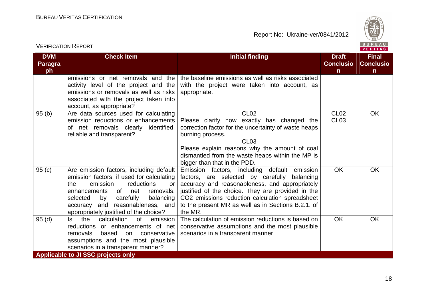

| <b>VERIFICATION REPORT</b>         |                                                                                                                                                                                                                                                                                                    |                                                                                                                                                                                                                                                                                                                         |                                                  | BUREAU<br><b>VERITAS</b>                         |
|------------------------------------|----------------------------------------------------------------------------------------------------------------------------------------------------------------------------------------------------------------------------------------------------------------------------------------------------|-------------------------------------------------------------------------------------------------------------------------------------------------------------------------------------------------------------------------------------------------------------------------------------------------------------------------|--------------------------------------------------|--------------------------------------------------|
| <b>DVM</b><br><b>Paragra</b><br>ph | <b>Check Item</b>                                                                                                                                                                                                                                                                                  | <b>Initial finding</b>                                                                                                                                                                                                                                                                                                  | <b>Draft</b><br><b>Conclusio</b><br>$\mathsf{n}$ | <b>Final</b><br><b>Conclusio</b><br>$\mathsf{n}$ |
|                                    | emissions or net removals and the<br>activity level of the project and the<br>emissions or removals as well as risks<br>associated with the project taken into<br>account, as appropriate?                                                                                                         | the baseline emissions as well as risks associated<br>with the project were taken into account, as<br>appropriate.                                                                                                                                                                                                      |                                                  |                                                  |
| 95(b)                              | Are data sources used for calculating<br>emission reductions or enhancements<br>of net removals clearly identified,<br>reliable and transparent?                                                                                                                                                   | <b>CL02</b><br>Please clarify how exactly has changed the<br>correction factor for the uncertainty of waste heaps<br>burning process.<br><b>CL03</b><br>Please explain reasons why the amount of coal<br>dismantled from the waste heaps within the MP is<br>bigger than that in the PDD.                               | <b>CL02</b><br><b>CL03</b>                       | <b>OK</b>                                        |
| 95(c)                              | Are emission factors, including default<br>emission factors, if used for calculating<br>the<br>emission<br>reductions<br>or<br>enhancements<br>of<br>net<br>removals,<br>carefully<br>balancing<br>selected<br>by<br>and reasonableness, and<br>accuracy<br>appropriately justified of the choice? | Emission factors, including default emission<br>factors, are selected by carefully balancing<br>accuracy and reasonableness, and appropriately<br>justified of the choice. They are provided in the<br>CO2 emissions reduction calculation spreadsheet<br>to the present MR as well as in Sections B.2.1. of<br>the MR. | <b>OK</b>                                        | <b>OK</b>                                        |
| 95(d)                              | the<br>calculation<br>$\circ$ f<br>emission<br>ls.<br>reductions or enhancements of net<br>removals<br>based<br>conservative<br>on<br>assumptions and the most plausible<br>scenarios in a transparent manner?<br><b>Applicable to JI SSC projects only</b>                                        | The calculation of emission reductions is based on<br>conservative assumptions and the most plausible<br>scenarios in a transparent manner                                                                                                                                                                              | <b>OK</b>                                        | <b>OK</b>                                        |
|                                    |                                                                                                                                                                                                                                                                                                    |                                                                                                                                                                                                                                                                                                                         |                                                  |                                                  |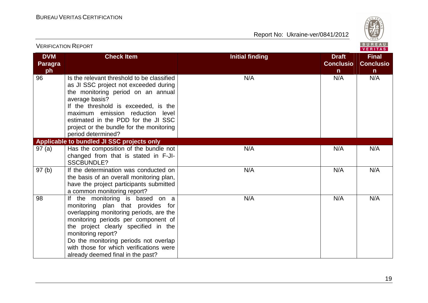

|                                    | <b>VERIFICATION REPORT</b>                                                                                                                                                                                                                                                                                                                    |                        |                                                  | BUREAU<br><b>VERITAS</b>                         |
|------------------------------------|-----------------------------------------------------------------------------------------------------------------------------------------------------------------------------------------------------------------------------------------------------------------------------------------------------------------------------------------------|------------------------|--------------------------------------------------|--------------------------------------------------|
| <b>DVM</b><br><b>Paragra</b><br>ph | <b>Check Item</b>                                                                                                                                                                                                                                                                                                                             | <b>Initial finding</b> | <b>Draft</b><br><b>Conclusio</b><br>$\mathsf{n}$ | <b>Final</b><br><b>Conclusio</b><br>$\mathsf{n}$ |
| 96                                 | Is the relevant threshold to be classified<br>as JI SSC project not exceeded during<br>the monitoring period on an annual<br>average basis?<br>If the threshold is exceeded, is the<br>maximum emission reduction level<br>estimated in the PDD for the JI SSC<br>project or the bundle for the monitoring<br>period determined?              | N/A                    | N/A                                              | N/A                                              |
|                                    | Applicable to bundled JI SSC projects only                                                                                                                                                                                                                                                                                                    |                        |                                                  |                                                  |
| 97(a)                              | Has the composition of the bundle not<br>changed from that is stated in F-JI-<br><b>SSCBUNDLE?</b>                                                                                                                                                                                                                                            | N/A                    | N/A                                              | N/A                                              |
| 97(b)                              | If the determination was conducted on<br>the basis of an overall monitoring plan,<br>have the project participants submitted<br>a common monitoring report?                                                                                                                                                                                   | N/A                    | N/A                                              | N/A                                              |
| 98                                 | If the monitoring is based on a<br>monitoring plan that provides for<br>overlapping monitoring periods, are the<br>monitoring periods per component of<br>the project clearly specified in the<br>monitoring report?<br>Do the monitoring periods not overlap<br>with those for which verifications were<br>already deemed final in the past? | N/A                    | N/A                                              | N/A                                              |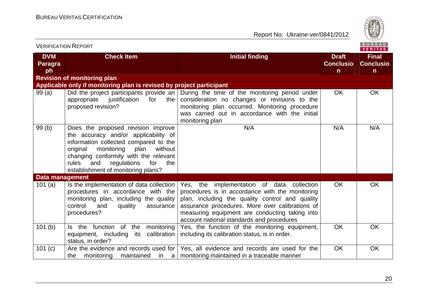

| BUREAU<br><b>VERIFICATION REPORT</b><br><b>VERITAS</b> |                                                                                                                                                                                                                                                                                              |                                                                                                                                                                                                                                                                                                       |                                                  |                                                  |
|--------------------------------------------------------|----------------------------------------------------------------------------------------------------------------------------------------------------------------------------------------------------------------------------------------------------------------------------------------------|-------------------------------------------------------------------------------------------------------------------------------------------------------------------------------------------------------------------------------------------------------------------------------------------------------|--------------------------------------------------|--------------------------------------------------|
| <b>DVM</b><br><b>Paragra</b><br>ph                     | <b>Check Item</b>                                                                                                                                                                                                                                                                            | <b>Initial finding</b>                                                                                                                                                                                                                                                                                | <b>Draft</b><br><b>Conclusio</b><br>$\mathsf{n}$ | <b>Final</b><br><b>Conclusio</b><br>$\mathsf{n}$ |
|                                                        | <b>Revision of monitoring plan</b>                                                                                                                                                                                                                                                           |                                                                                                                                                                                                                                                                                                       |                                                  |                                                  |
|                                                        | Applicable only if monitoring plan is revised by project participant                                                                                                                                                                                                                         |                                                                                                                                                                                                                                                                                                       |                                                  |                                                  |
| 99(a)                                                  | Did the project participants provide an $\vert$<br>appropriate<br>justification<br>for<br>the<br>proposed revision?                                                                                                                                                                          | During the time of the monitoring period under<br>consideration no changes or revisions to the<br>monitoring plan occurred. Monitoring procedure<br>was carried out in accordance with the initial<br>monitoring plan                                                                                 | <b>OK</b>                                        | <b>OK</b>                                        |
| 99(b)                                                  | Does the proposed revision improve<br>the accuracy and/or applicability of<br>information collected compared to the<br>without<br>original<br>monitoring<br>plan<br>changing conformity with the relevant<br>regulations<br>for<br>the<br>rules<br>and<br>establishment of monitoring plans? | N/A                                                                                                                                                                                                                                                                                                   | N/A                                              | N/A                                              |
| <b>Data management</b>                                 |                                                                                                                                                                                                                                                                                              |                                                                                                                                                                                                                                                                                                       |                                                  |                                                  |
| 101(a)                                                 | Is the implementation of data collection<br>procedures in accordance with the<br>monitoring plan, including the quality<br>control<br>and<br>quality<br>assurance<br>procedures?                                                                                                             | Yes, the<br>implementation of data collection<br>procedures is in accordance with the monitoring<br>plan, including the quality control and quality<br>assurance procedures. More over calibrations of<br>measuring equipment are conducting taking into<br>account national standards and procedures | <b>OK</b>                                        | <b>OK</b>                                        |
| 101(b)                                                 | Is the function of the<br>monitoring<br>equipment, including<br>calibration<br>its<br>status, in order?                                                                                                                                                                                      | Yes, the function of the monitoring equipment,<br>including its calibration status, is in order.                                                                                                                                                                                                      | <b>OK</b>                                        | <b>OK</b>                                        |
| 101 (c)                                                | Are the evidence and records used for<br>monitoring<br>maintained in a<br>the                                                                                                                                                                                                                | Yes, all evidence and records are used for the<br>monitoring maintained in a traceable manner                                                                                                                                                                                                         | <b>OK</b>                                        | OK                                               |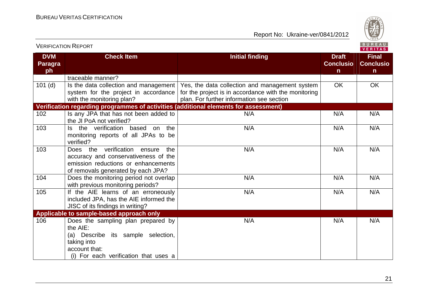

| <b>VERIFICATION REPORT</b>         |                                                                                                                                                               |                                                                                                                                                     |                                                  | <b>BUREAU</b><br><b>VERITAS</b>                  |
|------------------------------------|---------------------------------------------------------------------------------------------------------------------------------------------------------------|-----------------------------------------------------------------------------------------------------------------------------------------------------|--------------------------------------------------|--------------------------------------------------|
| <b>DVM</b><br><b>Paragra</b><br>ph | <b>Check Item</b>                                                                                                                                             | <b>Initial finding</b>                                                                                                                              | <b>Draft</b><br><b>Conclusio</b><br>$\mathsf{n}$ | <b>Final</b><br><b>Conclusio</b><br>$\mathsf{n}$ |
|                                    | traceable manner?                                                                                                                                             |                                                                                                                                                     |                                                  |                                                  |
| $101$ (d)                          | Is the data collection and management<br>system for the project in accordance<br>with the monitoring plan?                                                    | Yes, the data collection and management system<br>for the project is in accordance with the monitoring<br>plan. For further information see section | <b>OK</b>                                        | <b>OK</b>                                        |
|                                    | Verification regarding programmes of activities (additional elements for assessment)                                                                          |                                                                                                                                                     |                                                  |                                                  |
| 102                                | Is any JPA that has not been added to<br>the JI PoA not verified?                                                                                             | N/A                                                                                                                                                 | N/A                                              | N/A                                              |
| 103                                | Is the verification based on the<br>monitoring reports of all JPAs to be<br>verified?                                                                         | N/A                                                                                                                                                 | N/A                                              | N/A                                              |
| 103                                | Does the verification ensure<br>the<br>accuracy and conservativeness of the<br>emission reductions or enhancements<br>of removals generated by each JPA?      | N/A                                                                                                                                                 | N/A                                              | N/A                                              |
| 104                                | Does the monitoring period not overlap<br>with previous monitoring periods?                                                                                   | N/A                                                                                                                                                 | N/A                                              | N/A                                              |
| 105                                | If the AIE learns of an erroneously<br>included JPA, has the AIE informed the<br>JISC of its findings in writing?                                             | N/A                                                                                                                                                 | N/A                                              | N/A                                              |
|                                    | Applicable to sample-based approach only                                                                                                                      |                                                                                                                                                     |                                                  |                                                  |
| 106                                | Does the sampling plan prepared by<br>the AIE:<br>(a) Describe its sample selection,<br>taking into<br>account that:<br>(i) For each verification that uses a | N/A                                                                                                                                                 | N/A                                              | N/A                                              |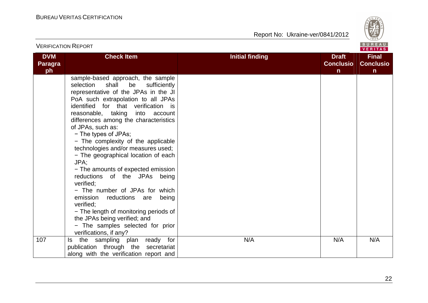

| <b>VERIFICATION REPORT</b>  |                                                                                                                                                                                                                                                                                                                                                                                                                                                                                                                                                                                                                                                                                                                                                                           |                                                                            | BUREAU<br><b>VERITAS</b>                         |
|-----------------------------|---------------------------------------------------------------------------------------------------------------------------------------------------------------------------------------------------------------------------------------------------------------------------------------------------------------------------------------------------------------------------------------------------------------------------------------------------------------------------------------------------------------------------------------------------------------------------------------------------------------------------------------------------------------------------------------------------------------------------------------------------------------------------|----------------------------------------------------------------------------|--------------------------------------------------|
| <b>DVM</b><br>Paragra<br>ph | <b>Check Item</b>                                                                                                                                                                                                                                                                                                                                                                                                                                                                                                                                                                                                                                                                                                                                                         | <b>Initial finding</b><br><b>Draft</b><br><b>Conclusio</b><br>$\mathsf{n}$ | <b>Final</b><br><b>Conclusio</b><br>$\mathsf{n}$ |
|                             | sample-based approach, the sample<br>shall<br>sufficiently<br>selection<br>be<br>representative of the JPAs in the JI<br>PoA such extrapolation to all JPAs<br>identified for that verification is<br>reasonable, taking into account<br>differences among the characteristics<br>of JPAs, such as:<br>- The types of JPAs;<br>- The complexity of the applicable<br>technologies and/or measures used;<br>- The geographical location of each<br>JPA;<br>- The amounts of expected emission<br>reductions of the JPAs being<br>verified;<br>- The number of JPAs for which<br>emission<br>reductions<br>being<br>are<br>verified;<br>- The length of monitoring periods of<br>the JPAs being verified; and<br>- The samples selected for prior<br>verifications, if any? |                                                                            |                                                  |
| 107                         | Is the sampling plan ready for<br>publication through the secretariat<br>along with the verification report and                                                                                                                                                                                                                                                                                                                                                                                                                                                                                                                                                                                                                                                           | N/A<br>N/A                                                                 | N/A                                              |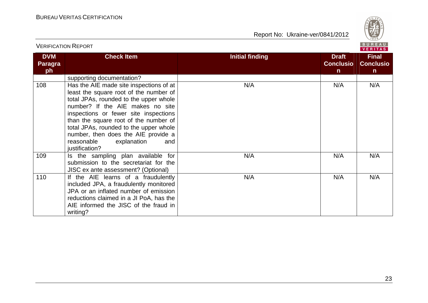

|                                    |                                                                                                                                                                                                                                                                                                                                                                                          |                                                                            | VERITAS                                          |
|------------------------------------|------------------------------------------------------------------------------------------------------------------------------------------------------------------------------------------------------------------------------------------------------------------------------------------------------------------------------------------------------------------------------------------|----------------------------------------------------------------------------|--------------------------------------------------|
| <b>DVM</b><br><b>Paragra</b><br>ph | <b>Check Item</b>                                                                                                                                                                                                                                                                                                                                                                        | <b>Initial finding</b><br><b>Draft</b><br><b>Conclusio</b><br>$\mathsf{n}$ | <b>Final</b><br><b>Conclusio</b><br>$\mathsf{n}$ |
|                                    | supporting documentation?                                                                                                                                                                                                                                                                                                                                                                |                                                                            |                                                  |
| 108                                | Has the AIE made site inspections of at<br>least the square root of the number of<br>total JPAs, rounded to the upper whole<br>number? If the AIE makes no site<br>inspections or fewer site inspections<br>than the square root of the number of<br>total JPAs, rounded to the upper whole<br>number, then does the AIE provide a<br>reasonable<br>explanation<br>and<br>justification? | N/A<br>N/A                                                                 | N/A                                              |
| 109                                | Is the sampling plan available for<br>submission to the secretariat for the<br>JISC ex ante assessment? (Optional)                                                                                                                                                                                                                                                                       | N/A<br>N/A                                                                 | N/A                                              |
| 110                                | If the AIE learns of a fraudulently<br>included JPA, a fraudulently monitored<br>JPA or an inflated number of emission<br>reductions claimed in a JI PoA, has the<br>AIE informed the JISC of the fraud in<br>writing?                                                                                                                                                                   | N/A<br>N/A                                                                 | N/A                                              |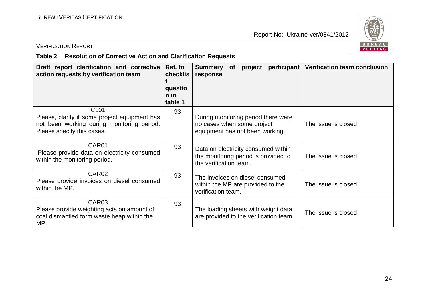

# VERIFICATION REPORT

# **Table 2 Resolution of Corrective Action and Clarification Requests**

| Draft report clarification and corrective<br>action requests by verification team                                                             | Ref. to<br>checklis<br>questio<br>$n$ in<br>table 1 | participant<br><b>Summary</b><br>project<br><b>of</b><br>response                                     | <b>Verification team conclusion</b> |
|-----------------------------------------------------------------------------------------------------------------------------------------------|-----------------------------------------------------|-------------------------------------------------------------------------------------------------------|-------------------------------------|
| CL <sub>01</sub><br>Please, clarify if some project equipment has<br>not been working during monitoring period.<br>Please specify this cases. | 93                                                  | During monitoring period there were<br>no cases when some project<br>equipment has not been working.  | The issue is closed                 |
| CAR01<br>Please provide data on electricity consumed<br>within the monitoring period.                                                         | 93                                                  | Data on electricity consumed within<br>the monitoring period is provided to<br>the verification team. | The issue is closed                 |
| CAR <sub>02</sub><br>Please provide invoices on diesel consumed<br>within the MP.                                                             | 93                                                  | The invoices on diesel consumed<br>within the MP are provided to the<br>verification team.            | The issue is closed                 |
| CAR <sub>03</sub><br>Please provide weighting acts on amount of<br>coal dismantled form waste heap within the<br>MP.                          | 93                                                  | The loading sheets with weight data<br>are provided to the verification team.                         | The issue is closed                 |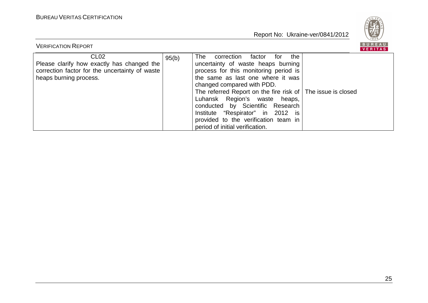

| <b>VERIFICATION REPORT</b>                                                                                                                 |       |                                                                                                                                                                                                                                                                                                                                                                                                                                              | <b>BUREAU</b><br><b>VERITAS</b> |
|--------------------------------------------------------------------------------------------------------------------------------------------|-------|----------------------------------------------------------------------------------------------------------------------------------------------------------------------------------------------------------------------------------------------------------------------------------------------------------------------------------------------------------------------------------------------------------------------------------------------|---------------------------------|
| CL <sub>02</sub><br>Please clarify how exactly has changed the<br>correction factor for the uncertainty of waste<br>heaps burning process. | 95(b) | the<br>The<br>correction factor<br>for<br>uncertainty of waste heaps burning<br>process for this monitoring period is<br>the same as last one where it was<br>changed compared with PDD.<br>The referred Report on the fire risk of The issue is closed<br>Luhansk Region's waste heaps,<br>conducted by Scientific Research<br>Institute "Respirator" in 2012 is<br>provided to the verification team in<br>period of initial verification. |                                 |